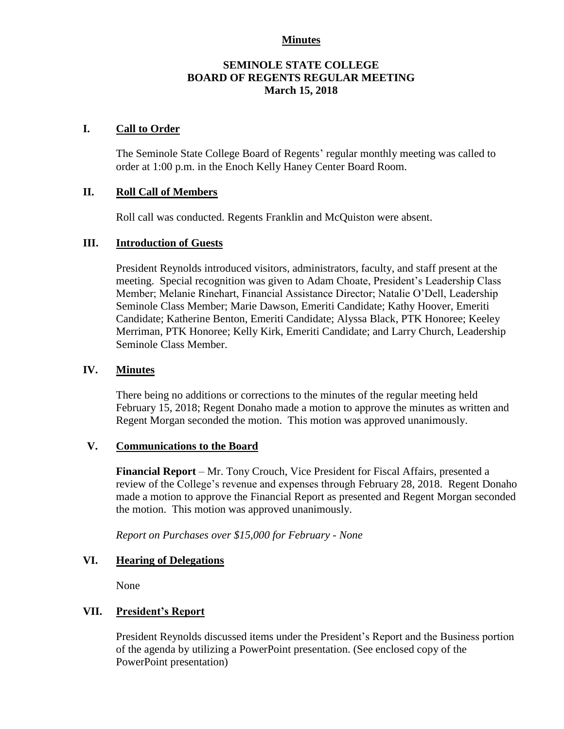#### **Minutes**

### **SEMINOLE STATE COLLEGE BOARD OF REGENTS REGULAR MEETING March 15, 2018**

### **I. Call to Order**

The Seminole State College Board of Regents' regular monthly meeting was called to order at 1:00 p.m. in the Enoch Kelly Haney Center Board Room.

### **II. Roll Call of Members**

Roll call was conducted. Regents Franklin and McQuiston were absent.

#### **III. Introduction of Guests**

President Reynolds introduced visitors, administrators, faculty, and staff present at the meeting. Special recognition was given to Adam Choate, President's Leadership Class Member; Melanie Rinehart, Financial Assistance Director; Natalie O'Dell, Leadership Seminole Class Member; Marie Dawson, Emeriti Candidate; Kathy Hoover, Emeriti Candidate; Katherine Benton, Emeriti Candidate; Alyssa Black, PTK Honoree; Keeley Merriman, PTK Honoree; Kelly Kirk, Emeriti Candidate; and Larry Church, Leadership Seminole Class Member.

#### **IV. Minutes**

There being no additions or corrections to the minutes of the regular meeting held February 15, 2018; Regent Donaho made a motion to approve the minutes as written and Regent Morgan seconded the motion. This motion was approved unanimously.

#### **V. Communications to the Board**

**Financial Report** – Mr. Tony Crouch, Vice President for Fiscal Affairs, presented a review of the College's revenue and expenses through February 28, 2018. Regent Donaho made a motion to approve the Financial Report as presented and Regent Morgan seconded the motion. This motion was approved unanimously.

*Report on Purchases over \$15,000 for February - None*

### **VI. Hearing of Delegations**

None

### **VII. President's Report**

President Reynolds discussed items under the President's Report and the Business portion of the agenda by utilizing a PowerPoint presentation. (See enclosed copy of the PowerPoint presentation)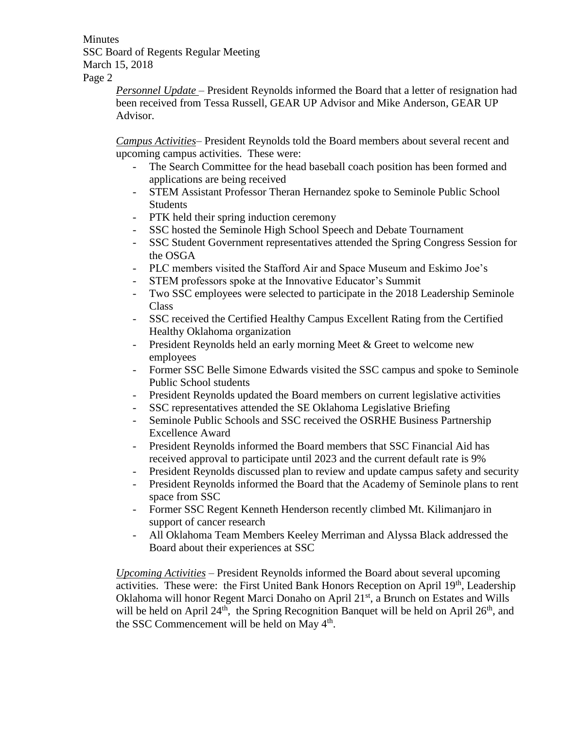**Minutes** SSC Board of Regents Regular Meeting March 15, 2018 Page 2

> *Personnel Update* – President Reynolds informed the Board that a letter of resignation had been received from Tessa Russell, GEAR UP Advisor and Mike Anderson, GEAR UP Advisor.

*Campus Activities*– President Reynolds told the Board members about several recent and upcoming campus activities. These were:

- The Search Committee for the head baseball coach position has been formed and applications are being received
- STEM Assistant Professor Theran Hernandez spoke to Seminole Public School Students
- PTK held their spring induction ceremony
- SSC hosted the Seminole High School Speech and Debate Tournament
- SSC Student Government representatives attended the Spring Congress Session for the OSGA
- PLC members visited the Stafford Air and Space Museum and Eskimo Joe's
- STEM professors spoke at the Innovative Educator's Summit
- Two SSC employees were selected to participate in the 2018 Leadership Seminole Class
- SSC received the Certified Healthy Campus Excellent Rating from the Certified Healthy Oklahoma organization
- President Reynolds held an early morning Meet & Greet to welcome new employees
- Former SSC Belle Simone Edwards visited the SSC campus and spoke to Seminole Public School students
- President Reynolds updated the Board members on current legislative activities
- SSC representatives attended the SE Oklahoma Legislative Briefing
- Seminole Public Schools and SSC received the OSRHE Business Partnership Excellence Award
- President Reynolds informed the Board members that SSC Financial Aid has received approval to participate until 2023 and the current default rate is 9%
- President Reynolds discussed plan to review and update campus safety and security
- President Reynolds informed the Board that the Academy of Seminole plans to rent space from SSC
- Former SSC Regent Kenneth Henderson recently climbed Mt. Kilimanjaro in support of cancer research
- All Oklahoma Team Members Keeley Merriman and Alyssa Black addressed the Board about their experiences at SSC

*Upcoming Activities* – President Reynolds informed the Board about several upcoming activities. These were: the First United Bank Honors Reception on April 19<sup>th</sup>, Leadership Oklahoma will honor Regent Marci Donaho on April 21st, a Brunch on Estates and Wills will be held on April  $24<sup>th</sup>$ , the Spring Recognition Banquet will be held on April  $26<sup>th</sup>$ , and the SSC Commencement will be held on May  $4<sup>th</sup>$ .